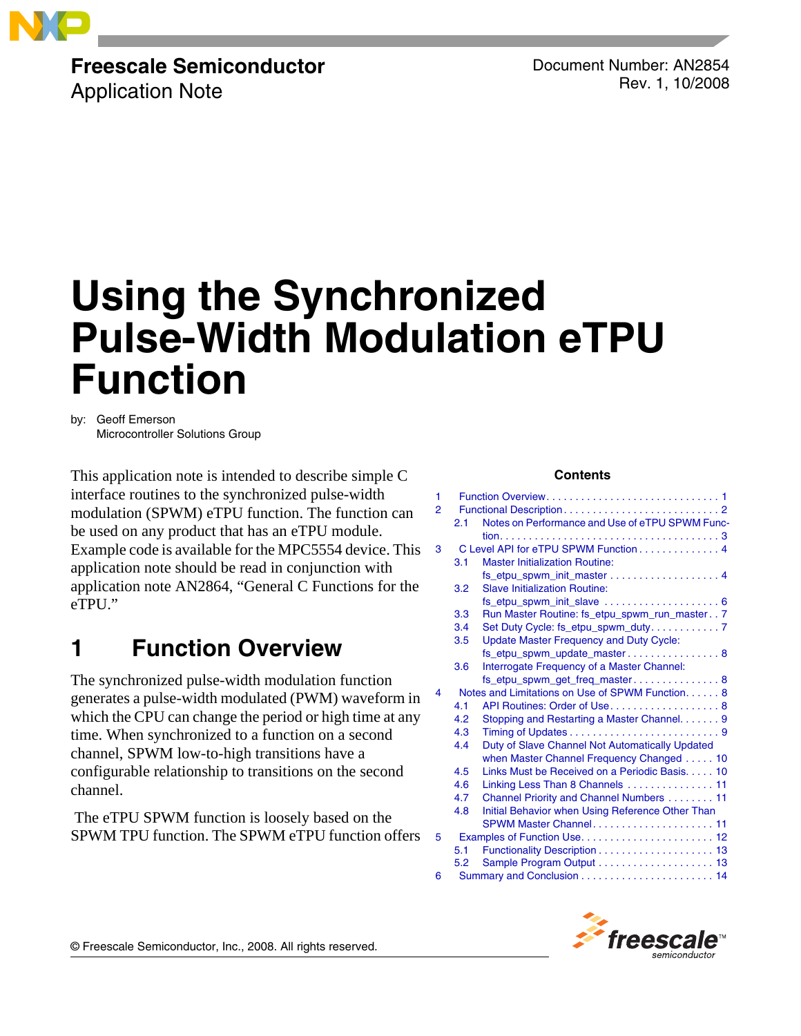

## **Freescale Semiconductor**

Application Note

Document Number: AN2854 Rev. 1, 10/2008

# **Using the Synchronized Pulse-Width Modulation eTPU Function**

by: Geoff Emerson Microcontroller Solutions Group

This application note is intended to describe simple C interface routines to the synchronized pulse-width modulation (SPWM) eTPU function. The function can be used on any product that has an eTPU module. Example code is available for the MPC5554 device. This 3 application note should be read in conjunction with application note AN2864, "General C Functions for the eTPU."

### <span id="page-0-0"></span>**1 Function Overview**

The synchronized pulse-width modulation function generates a pulse-width modulated (PWM) waveform in which the CPU can change the period or high time at any time. When synchronized to a function on a second channel, SPWM low-to-high transitions have a configurable relationship to transitions on the second channel.

 The eTPU SPWM function is loosely based on the SPWM TPU function. The SPWM eTPU function offers

#### **Contents**

| 1<br>2 |                                                  |                                                                              |
|--------|--------------------------------------------------|------------------------------------------------------------------------------|
|        |                                                  |                                                                              |
|        | 2.1                                              | Notes on Performance and Use of eTPU SPWM Func-                              |
| 3      | C Level API for eTPU SPWM Function 4             |                                                                              |
|        | 3.1                                              | <b>Master Initialization Routine:</b>                                        |
|        |                                                  | fs etpu spwm init master $\ldots$ , 4                                        |
|        | 3.2                                              | <b>Slave Initialization Routine:</b>                                         |
|        |                                                  | $fs$ etpu spwm init slave $\ldots \ldots \ldots \ldots \ldots \ldots \ldots$ |
|        | 3.3                                              | Run Master Routine: fs_etpu_spwm_run_master 7                                |
|        | 3.4                                              | Set Duty Cycle: fs_etpu_spwm_duty. 7                                         |
|        | 3.5                                              | <b>Update Master Frequency and Duty Cycle:</b>                               |
|        |                                                  | fs_etpu_spwm_update_master 8                                                 |
|        | 3.6                                              | Interrogate Frequency of a Master Channel:                                   |
|        |                                                  | fs_etpu_spwm_get_freq_master 8                                               |
| 4      | Notes and Limitations on Use of SPWM Function. 8 |                                                                              |
|        | 4.1                                              | API Routines: Order of Use 8                                                 |
|        | 4.2                                              | Stopping and Restarting a Master Channel. 9                                  |
|        | 4.3                                              |                                                                              |
|        | 4.4                                              | Duty of Slave Channel Not Automatically Updated                              |
|        |                                                  | when Master Channel Frequency Changed 10                                     |
|        | 4.5                                              | Links Must be Received on a Periodic Basis. 10                               |
|        | 4.6                                              | Linking Less Than 8 Channels  11                                             |
|        | 4.7                                              | Channel Priority and Channel Numbers  11                                     |
|        | 4.8                                              | Initial Behavior when Using Reference Other Than                             |
|        |                                                  | SPWM Master Channel 11                                                       |
| 5      |                                                  |                                                                              |
|        | 5.1                                              |                                                                              |
|        | 5.2                                              | Sample Program Output  13                                                    |
| 6      |                                                  |                                                                              |



© Freescale Semiconductor, Inc., 2008. All rights reserved.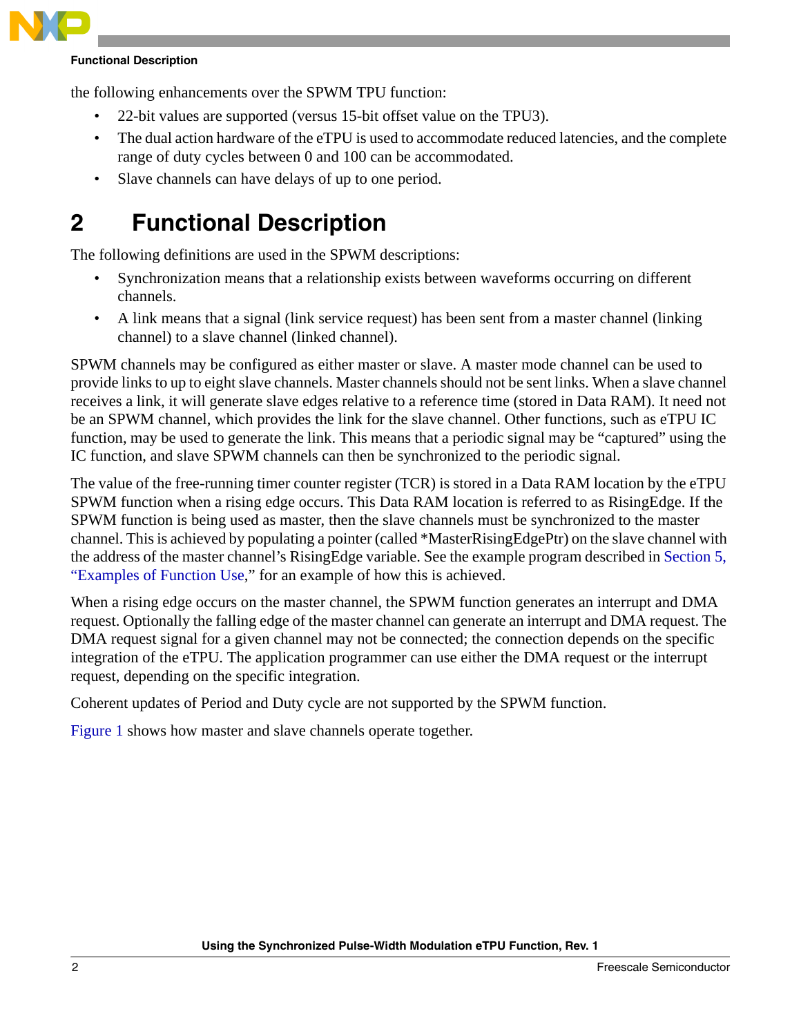#### **Functional Description**

the following enhancements over the SPWM TPU function:

- 22-bit values are supported (versus 15-bit offset value on the TPU3).
- The dual action hardware of the eTPU is used to accommodate reduced latencies, and the complete range of duty cycles between 0 and 100 can be accommodated.
- Slave channels can have delays of up to one period.

### <span id="page-1-0"></span>**2 Functional Description**

The following definitions are used in the SPWM descriptions:

- Synchronization means that a relationship exists between waveforms occurring on different channels.
- A link means that a signal (link service request) has been sent from a master channel (linking channel) to a slave channel (linked channel).

SPWM channels may be configured as either master or slave. A master mode channel can be used to provide links to up to eight slave channels. Master channels should not be sent links. When a slave channel receives a link, it will generate slave edges relative to a reference time (stored in Data RAM). It need not be an SPWM channel, which provides the link for the slave channel. Other functions, such as eTPU IC function, may be used to generate the link. This means that a periodic signal may be "captured" using the IC function, and slave SPWM channels can then be synchronized to the periodic signal.

The value of the free-running timer counter register (TCR) is stored in a Data RAM location by the eTPU SPWM function when a rising edge occurs. This Data RAM location is referred to as RisingEdge. If the SPWM function is being used as master, then the slave channels must be synchronized to the master channel. This is achieved by populating a pointer (called \*MasterRisingEdgePtr) on the slave channel with the address of the master channel's RisingEdge variable. See the example program described in [Section 5,](#page-11-0)  ["Examples of Function Use,](#page-11-0)" for an example of how this is achieved.

When a rising edge occurs on the master channel, the SPWM function generates an interrupt and DMA request. Optionally the falling edge of the master channel can generate an interrupt and DMA request. The DMA request signal for a given channel may not be connected; the connection depends on the specific integration of the eTPU. The application programmer can use either the DMA request or the interrupt request, depending on the specific integration.

Coherent updates of Period and Duty cycle are not supported by the SPWM function.

[Figure 1](#page-2-1) shows how master and slave channels operate together.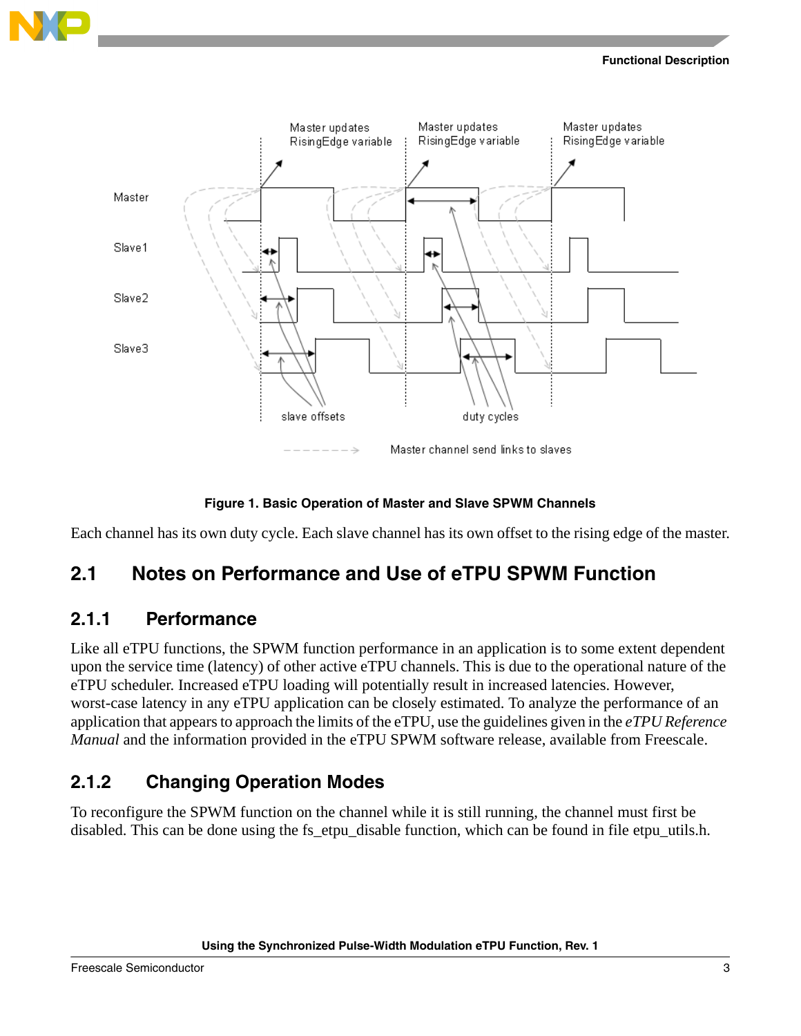



**Figure 1. Basic Operation of Master and Slave SPWM Channels**

<span id="page-2-1"></span>Each channel has its own duty cycle. Each slave channel has its own offset to the rising edge of the master.

#### <span id="page-2-0"></span>**2.1 Notes on Performance and Use of eTPU SPWM Function**

#### **2.1.1 Performance**

Like all eTPU functions, the SPWM function performance in an application is to some extent dependent upon the service time (latency) of other active eTPU channels. This is due to the operational nature of the eTPU scheduler. Increased eTPU loading will potentially result in increased latencies. However, worst-case latency in any eTPU application can be closely estimated. To analyze the performance of an application that appears to approach the limits of the eTPU, use the guidelines given in the *eTPU Reference Manual* and the information provided in the eTPU SPWM software release, available from Freescale.

#### **2.1.2 Changing Operation Modes**

To reconfigure the SPWM function on the channel while it is still running, the channel must first be disabled. This can be done using the fs\_etpu\_disable function, which can be found in file etpu\_utils.h.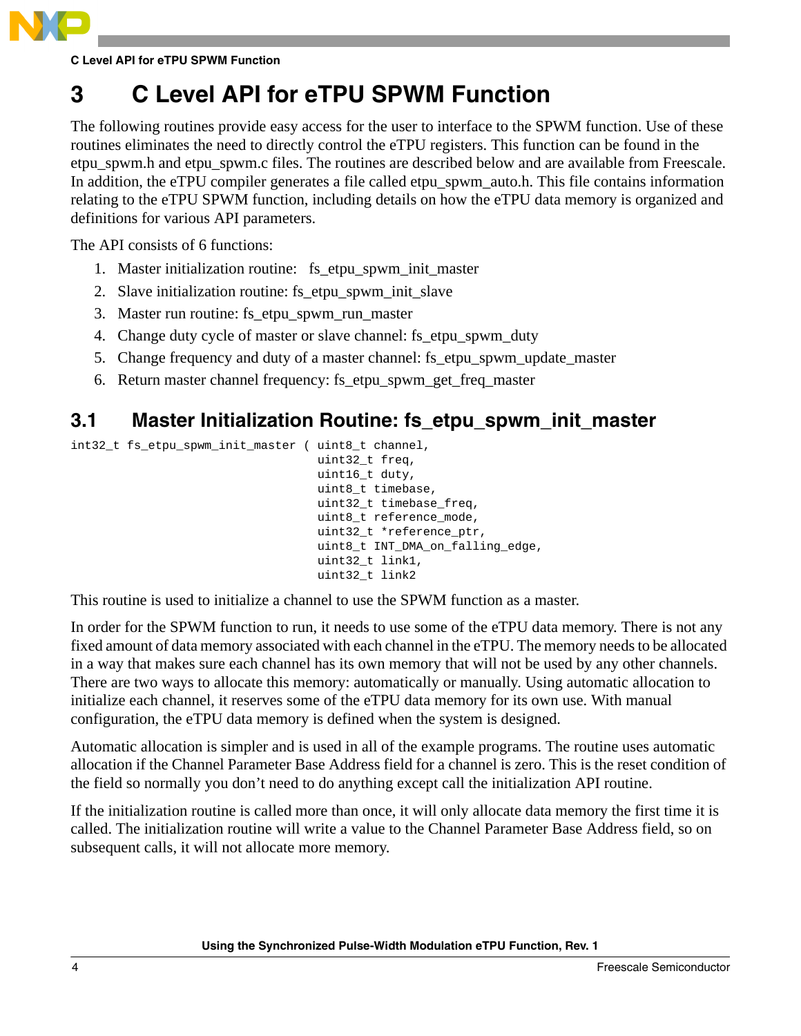

**C Level API for eTPU SPWM Function**

## <span id="page-3-0"></span>**3 C Level API for eTPU SPWM Function**

The following routines provide easy access for the user to interface to the SPWM function. Use of these routines eliminates the need to directly control the eTPU registers. This function can be found in the etpu\_spwm.h and etpu\_spwm.c files. The routines are described below and are available from Freescale. In addition, the eTPU compiler generates a file called etpu\_spwm\_auto.h. This file contains information relating to the eTPU SPWM function, including details on how the eTPU data memory is organized and definitions for various API parameters.

The API consists of 6 functions:

- 1. Master initialization routine: fs\_etpu\_spwm\_init\_master
- 2. Slave initialization routine: fs\_etpu\_spwm\_init\_slave
- 3. Master run routine: fs\_etpu\_spwm\_run\_master
- 4. Change duty cycle of master or slave channel: fs\_etpu\_spwm\_duty
- 5. Change frequency and duty of a master channel: fs\_etpu\_spwm\_update\_master
- 6. Return master channel frequency: fs\_etpu\_spwm\_get\_freq\_master

### <span id="page-3-1"></span>**3.1 Master Initialization Routine: fs\_etpu\_spwm\_init\_master**

```
int32_t fs_etpu_spwm_init_master ( uint8_t channel,
                                    uint32_t freq,
                                    uint16_t duty,
                                    uint8_t timebase,
                                    uint32_t timebase_freq,
                                    uint8_t reference_mode,
                                    uint32_t *reference_ptr,
                                    uint8_t INT_DMA_on_falling_edge,
                                    uint32_t link1,
                                    uint32_t link2
```
This routine is used to initialize a channel to use the SPWM function as a master.

In order for the SPWM function to run, it needs to use some of the eTPU data memory. There is not any fixed amount of data memory associated with each channel in the eTPU. The memory needs to be allocated in a way that makes sure each channel has its own memory that will not be used by any other channels. There are two ways to allocate this memory: automatically or manually. Using automatic allocation to initialize each channel, it reserves some of the eTPU data memory for its own use. With manual configuration, the eTPU data memory is defined when the system is designed.

Automatic allocation is simpler and is used in all of the example programs. The routine uses automatic allocation if the Channel Parameter Base Address field for a channel is zero. This is the reset condition of the field so normally you don't need to do anything except call the initialization API routine.

If the initialization routine is called more than once, it will only allocate data memory the first time it is called. The initialization routine will write a value to the Channel Parameter Base Address field, so on subsequent calls, it will not allocate more memory.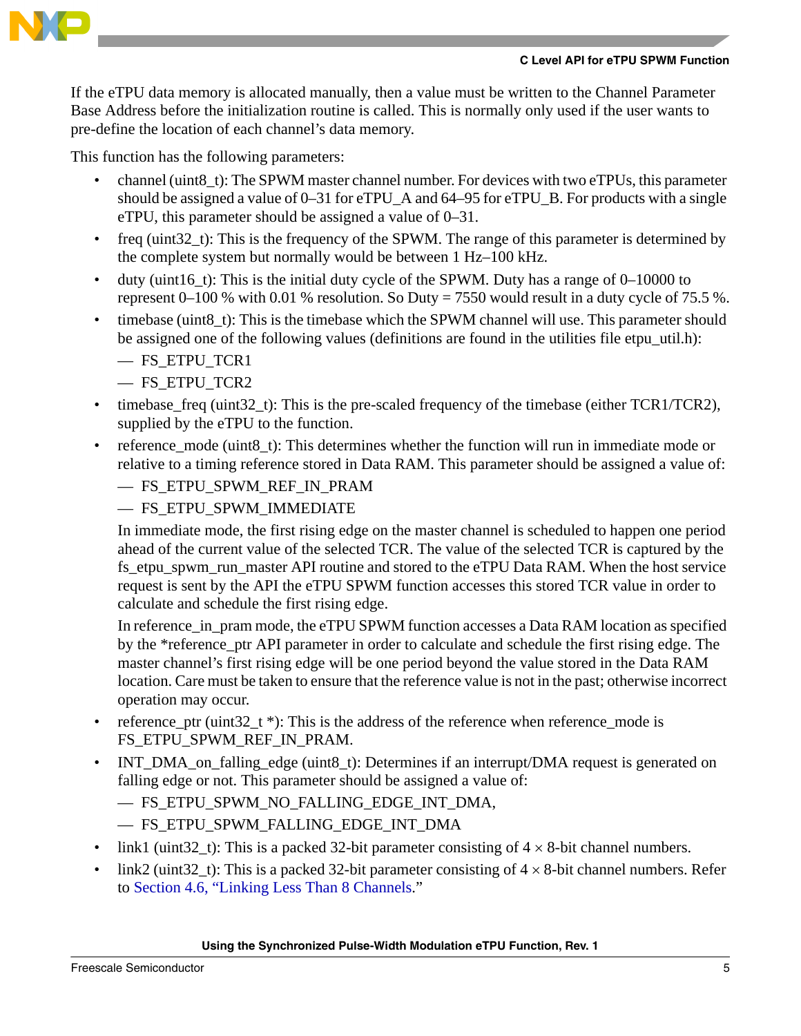

If the eTPU data memory is allocated manually, then a value must be written to the Channel Parameter Base Address before the initialization routine is called. This is normally only used if the user wants to pre-define the location of each channel's data memory.

This function has the following parameters:

- channel (uint8\_t): The SPWM master channel number. For devices with two eTPUs, this parameter should be assigned a value of 0–31 for eTPU\_A and 64–95 for eTPU\_B. For products with a single eTPU, this parameter should be assigned a value of 0–31.
- freq (uint 32 t): This is the frequency of the SPWM. The range of this parameter is determined by the complete system but normally would be between 1 Hz–100 kHz.
- duty (uint16 t): This is the initial duty cycle of the SPWM. Duty has a range of  $0-10000$  to represent 0–100 % with 0.01 % resolution. So Duty = 7550 would result in a duty cycle of 75.5 %.
- timebase (uint8 t): This is the timebase which the SPWM channel will use. This parameter should be assigned one of the following values (definitions are found in the utilities file etpu\_util.h):
	- FS\_ETPU\_TCR1
	- FS\_ETPU\_TCR2
- timebase freq (uint32 t): This is the pre-scaled frequency of the timebase (either  $TCR1/TCR2$ ), supplied by the eTPU to the function.
- reference mode (uint8 t): This determines whether the function will run in immediate mode or relative to a timing reference stored in Data RAM. This parameter should be assigned a value of:
	- FS\_ETPU\_SPWM\_REF\_IN\_PRAM
	- FS\_ETPU\_SPWM\_IMMEDIATE

In immediate mode, the first rising edge on the master channel is scheduled to happen one period ahead of the current value of the selected TCR. The value of the selected TCR is captured by the fs\_etpu\_spwm\_run\_master API routine and stored to the eTPU Data RAM. When the host service request is sent by the API the eTPU SPWM function accesses this stored TCR value in order to calculate and schedule the first rising edge.

In reference\_in\_pram mode, the eTPU SPWM function accesses a Data RAM location as specified by the \*reference ptr API parameter in order to calculate and schedule the first rising edge. The master channel's first rising edge will be one period beyond the value stored in the Data RAM location. Care must be taken to ensure that the reference value is not in the past; otherwise incorrect operation may occur.

- reference ptr (uint32  $t^*$ ): This is the address of the reference when reference mode is FS\_ETPU\_SPWM\_REF\_IN\_PRAM.
- INT\_DMA\_on\_falling\_edge (uint8\_t): Determines if an interrupt/DMA request is generated on falling edge or not. This parameter should be assigned a value of:
	- FS\_ETPU\_SPWM\_NO\_FALLING\_EDGE\_INT\_DMA,
	- FS\_ETPU\_SPWM\_FALLING\_EDGE\_INT\_DMA
- link1 (uint32\_t): This is a packed 32-bit parameter consisting of  $4 \times 8$ -bit channel numbers.
- link2 (uint32\_t): This is a packed 32-bit parameter consisting of  $4 \times 8$ -bit channel numbers. Refer to [Section 4.6, "Linking Less Than 8 Channels.](#page-10-0)"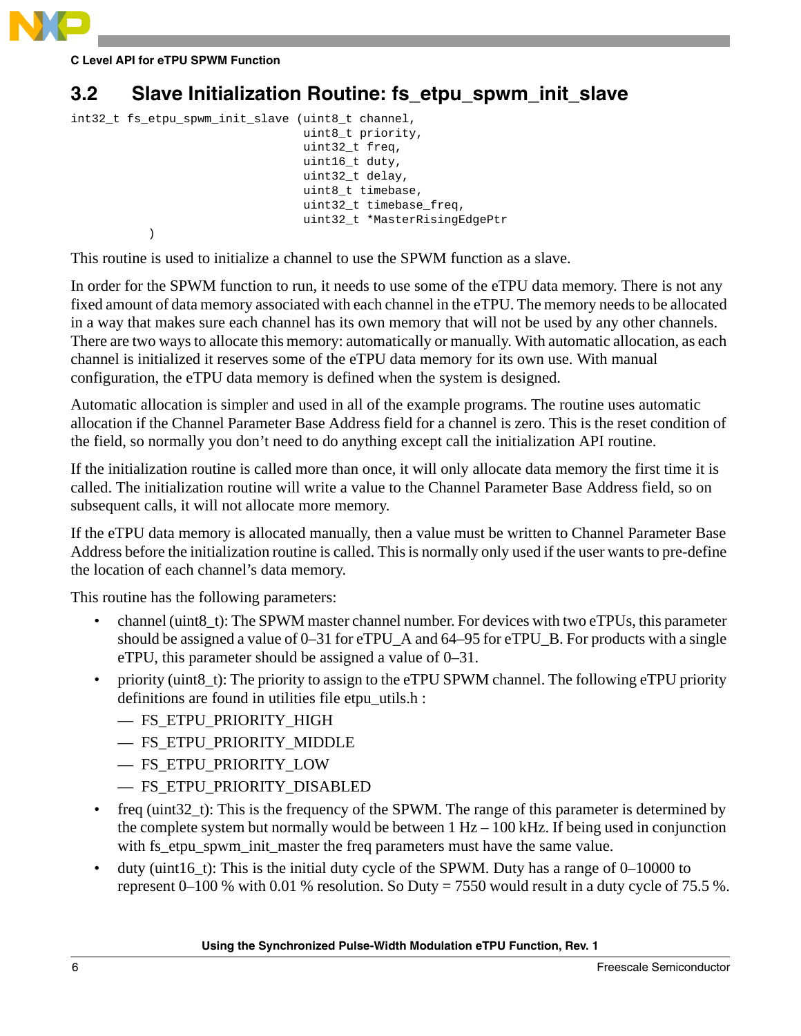

**C Level API for eTPU SPWM Function**

### **3.2 Slave Initialization Routine: fs\_etpu\_spwm\_init\_slave**

```
int32_t fs_etpu_spwm_init_slave (uint8_t channel,
                                  uint8_t priority,
                                  uint32_t freq,
                                  uint16_t duty,
                                  uint32_t delay,
                                  uint8_t timebase, 
                                  uint32_t timebase_freq,
                                  uint32_t *MasterRisingEdgePtr
           )
```
This routine is used to initialize a channel to use the SPWM function as a slave.

In order for the SPWM function to run, it needs to use some of the eTPU data memory. There is not any fixed amount of data memory associated with each channel in the eTPU. The memory needs to be allocated in a way that makes sure each channel has its own memory that will not be used by any other channels. There are two ways to allocate this memory: automatically or manually. With automatic allocation, as each channel is initialized it reserves some of the eTPU data memory for its own use. With manual configuration, the eTPU data memory is defined when the system is designed.

Automatic allocation is simpler and used in all of the example programs. The routine uses automatic allocation if the Channel Parameter Base Address field for a channel is zero. This is the reset condition of the field, so normally you don't need to do anything except call the initialization API routine.

If the initialization routine is called more than once, it will only allocate data memory the first time it is called. The initialization routine will write a value to the Channel Parameter Base Address field, so on subsequent calls, it will not allocate more memory.

If the eTPU data memory is allocated manually, then a value must be written to Channel Parameter Base Address before the initialization routine is called. This is normally only used if the user wants to pre-define the location of each channel's data memory.

This routine has the following parameters:

- channel (uint8\_t): The SPWM master channel number. For devices with two eTPUs, this parameter should be assigned a value of 0–31 for eTPU\_A and 64–95 for eTPU\_B. For products with a single eTPU, this parameter should be assigned a value of 0–31.
- priority (uint8\_t): The priority to assign to the eTPU SPWM channel. The following eTPU priority definitions are found in utilities file etpu\_utils.h :
	- FS\_ETPU\_PRIORITY\_HIGH
	- FS\_ETPU\_PRIORITY\_MIDDLE
	- FS\_ETPU\_PRIORITY\_LOW
	- FS\_ETPU\_PRIORITY\_DISABLED
- freq (uint 32 t): This is the frequency of the SPWM. The range of this parameter is determined by the complete system but normally would be between  $1 Hz - 100 kHz$ . If being used in conjunction with fs\_etpu\_spwm\_init\_master the freq parameters must have the same value.
- duty (uint16\_t): This is the initial duty cycle of the SPWM. Duty has a range of 0–10000 to represent 0–100 % with 0.01 % resolution. So Duty = 7550 would result in a duty cycle of 75.5 %.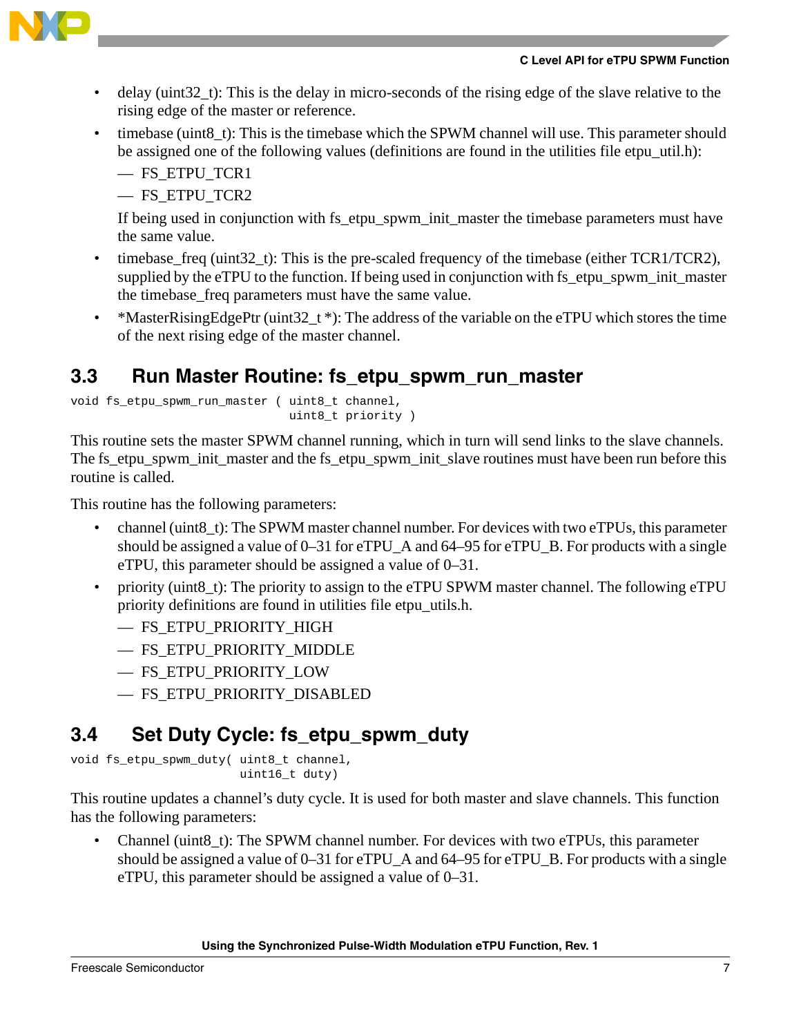

- delay (uint32\_t): This is the delay in micro-seconds of the rising edge of the slave relative to the rising edge of the master or reference.
- timebase (uint 8 t): This is the timebase which the SPWM channel will use. This parameter should be assigned one of the following values (definitions are found in the utilities file etpu\_util.h):

— FS\_ETPU\_TCR1

— FS\_ETPU\_TCR2

If being used in conjunction with fs etpu spwm init master the timebase parameters must have the same value.

- timebase\_freq (uint32\_t): This is the pre-scaled frequency of the timebase (either TCR1/TCR2), supplied by the eTPU to the function. If being used in conjunction with fs\_etpu\_spwm\_init\_master the timebase\_freq parameters must have the same value.
- \*MasterRisingEdgePtr (uint32\_t \*): The address of the variable on the eTPU which stores the time of the next rising edge of the master channel.

### <span id="page-6-0"></span>**3.3 Run Master Routine: fs\_etpu\_spwm\_run\_master**

void fs\_etpu\_spwm\_run\_master ( uint8\_t channel, uint8\_t priority )

This routine sets the master SPWM channel running, which in turn will send links to the slave channels. The fs\_etpu\_spwm\_init\_master and the fs\_etpu\_spwm\_init\_slave routines must have been run before this routine is called.

This routine has the following parameters:

- channel (uint8\_t): The SPWM master channel number. For devices with two eTPUs, this parameter should be assigned a value of 0–31 for eTPU\_A and 64–95 for eTPU\_B. For products with a single eTPU, this parameter should be assigned a value of 0–31.
- priority (uint8\_t): The priority to assign to the eTPU SPWM master channel. The following eTPU priority definitions are found in utilities file etpu\_utils.h.
	- FS\_ETPU\_PRIORITY\_HIGH
	- FS\_ETPU\_PRIORITY\_MIDDLE
	- FS\_ETPU\_PRIORITY\_LOW
	- FS\_ETPU\_PRIORITY\_DISABLED

### <span id="page-6-1"></span>**3.4 Set Duty Cycle: fs\_etpu\_spwm\_duty**

```
void fs_etpu_spwm_duty( uint8_t channel,
                        uint16_t duty)
```
This routine updates a channel's duty cycle. It is used for both master and slave channels. This function has the following parameters:

• Channel (uint8\_t): The SPWM channel number. For devices with two eTPUs, this parameter should be assigned a value of 0–31 for eTPU A and 64–95 for eTPU B. For products with a single eTPU, this parameter should be assigned a value of 0–31.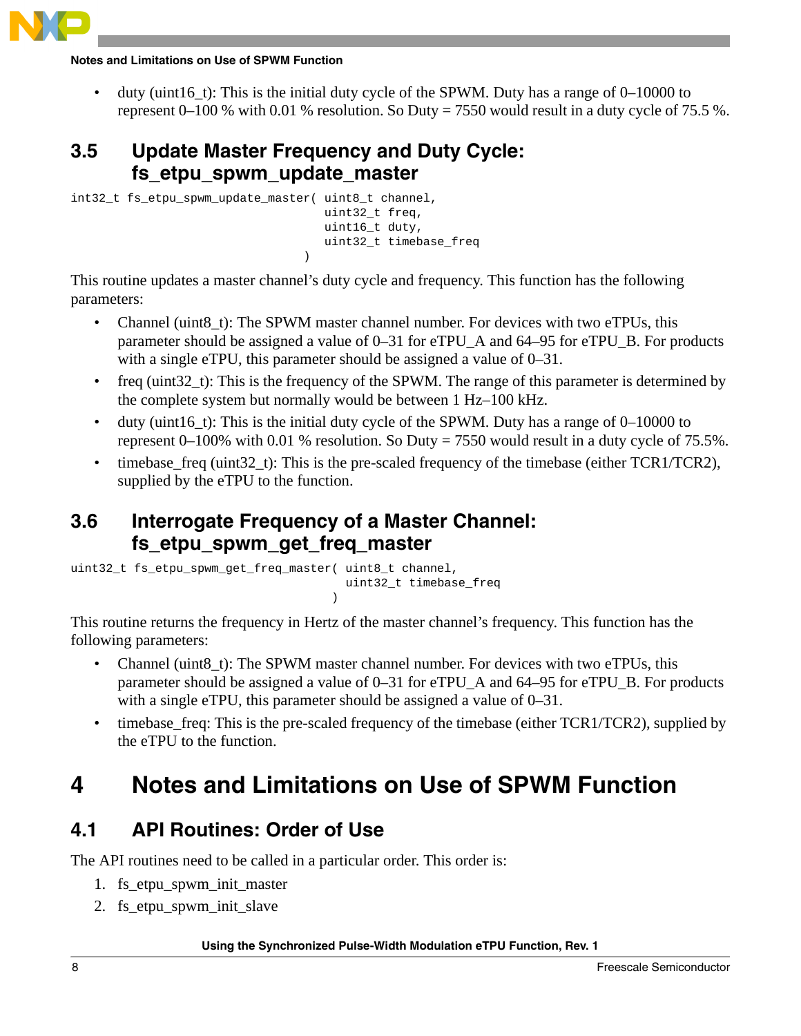#### **Notes and Limitations on Use of SPWM Function**

duty (uint16\_t): This is the initial duty cycle of the SPWM. Duty has a range of  $0-10000$  to represent 0–100 % with 0.01 % resolution. So Duty = 7550 would result in a duty cycle of 75.5 %.

### <span id="page-7-0"></span>**3.5 Update Master Frequency and Duty Cycle: fs\_etpu\_spwm\_update\_master**

```
int32_t fs_etpu_spwm_update_master( uint8_t channel,
                                     uint32_t freq,
                                     uint16_t duty,
                                     uint32_t timebase_freq
                                  )
```
This routine updates a master channel's duty cycle and frequency. This function has the following parameters:

- Channel (uint8\_t): The SPWM master channel number. For devices with two eTPUs, this parameter should be assigned a value of 0–31 for eTPU\_A and 64–95 for eTPU\_B. For products with a single eTPU, this parameter should be assigned a value of  $0-31$ .
- freq (uint32\_t): This is the frequency of the SPWM. The range of this parameter is determined by the complete system but normally would be between 1 Hz–100 kHz.
- duty (uint16 t): This is the initial duty cycle of the SPWM. Duty has a range of  $0-10000$  to represent 0–100% with 0.01 % resolution. So Duty = 7550 would result in a duty cycle of 75.5%.
- timebase freq (uint32 t): This is the pre-scaled frequency of the timebase (either  $TCR1/TCR2$ ), supplied by the eTPU to the function.

### <span id="page-7-1"></span>**3.6 Interrogate Frequency of a Master Channel: fs\_etpu\_spwm\_get\_freq\_master**

```
uint32_t fs_etpu_spwm_get_freq_master( uint8_t channel, 
                           uint32_t timebase_freq
 )
```
This routine returns the frequency in Hertz of the master channel's frequency. This function has the following parameters:

- Channel (uint8 t): The SPWM master channel number. For devices with two eTPUs, this parameter should be assigned a value of 0–31 for eTPU\_A and 64–95 for eTPU\_B. For products with a single eTPU, this parameter should be assigned a value of  $0-31$ .
- timebase freq: This is the pre-scaled frequency of the timebase (either TCR1/TCR2), supplied by the eTPU to the function.

### <span id="page-7-2"></span>**4 Notes and Limitations on Use of SPWM Function**

### <span id="page-7-3"></span>**4.1 API Routines: Order of Use**

The API routines need to be called in a particular order. This order is:

- 1. fs\_etpu\_spwm\_init\_master
- 2. fs\_etpu\_spwm\_init\_slave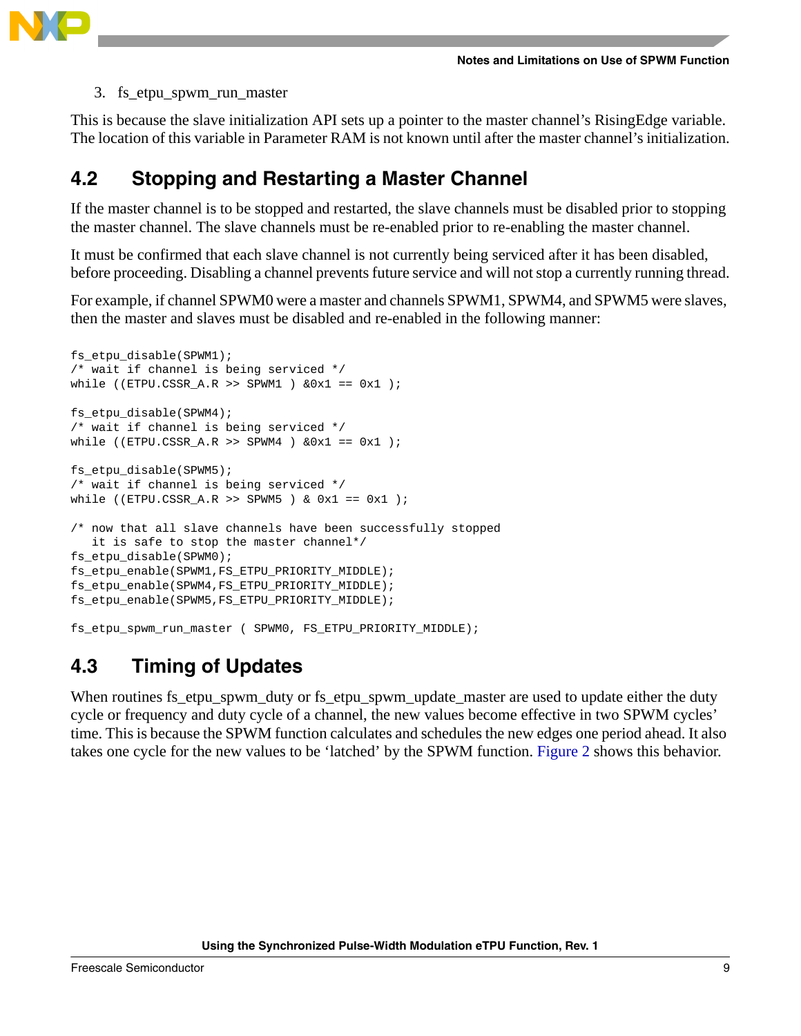

3. fs\_etpu\_spwm\_run\_master

This is because the slave initialization API sets up a pointer to the master channel's RisingEdge variable. The location of this variable in Parameter RAM is not known until after the master channel's initialization.

### <span id="page-8-0"></span>**4.2 Stopping and Restarting a Master Channel**

If the master channel is to be stopped and restarted, the slave channels must be disabled prior to stopping the master channel. The slave channels must be re-enabled prior to re-enabling the master channel.

It must be confirmed that each slave channel is not currently being serviced after it has been disabled, before proceeding. Disabling a channel prevents future service and will not stop a currently running thread.

For example, if channel SPWM0 were a master and channels SPWM1, SPWM4, and SPWM5 were slaves, then the master and slaves must be disabled and re-enabled in the following manner:

```
fs_etpu_disable(SPWM1);
/* wait if channel is being serviced */
while ((ETPU.CSSR A.R >> SPWM1 ) &0x1 == 0x1 );
fs_etpu_disable(SPWM4);
/* wait if channel is being serviced */ 
while ((ETPU.CSSR_A.R >> SPWM4 ) &0x1 == 0x1 );
fs_etpu_disable(SPWM5);
/* wait if channel is being serviced */
while ((ETPU.CSSR A.R >> SPWM5 ) & 0x1 == 0x1 );
/* now that all slave channels have been successfully stopped 
   it is safe to stop the master channel*/
fs_etpu_disable(SPWM0);
fs_etpu_enable(SPWM1,FS_ETPU_PRIORITY_MIDDLE);
fs_etpu_enable(SPWM4,FS_ETPU_PRIORITY_MIDDLE);
fs_etpu_enable(SPWM5,FS_ETPU_PRIORITY_MIDDLE);
fs_etpu_spwm_run_master ( SPWM0, FS_ETPU_PRIORITY_MIDDLE);
```
### <span id="page-8-1"></span>**4.3 Timing of Updates**

When routines fs\_etpu\_spwm\_duty or fs\_etpu\_spwm\_update\_master are used to update either the duty cycle or frequency and duty cycle of a channel, the new values become effective in two SPWM cycles' time. This is because the SPWM function calculates and schedules the new edges one period ahead. It also takes one cycle for the new values to be 'latched' by the SPWM function. [Figure 2](#page-9-2) shows this behavior.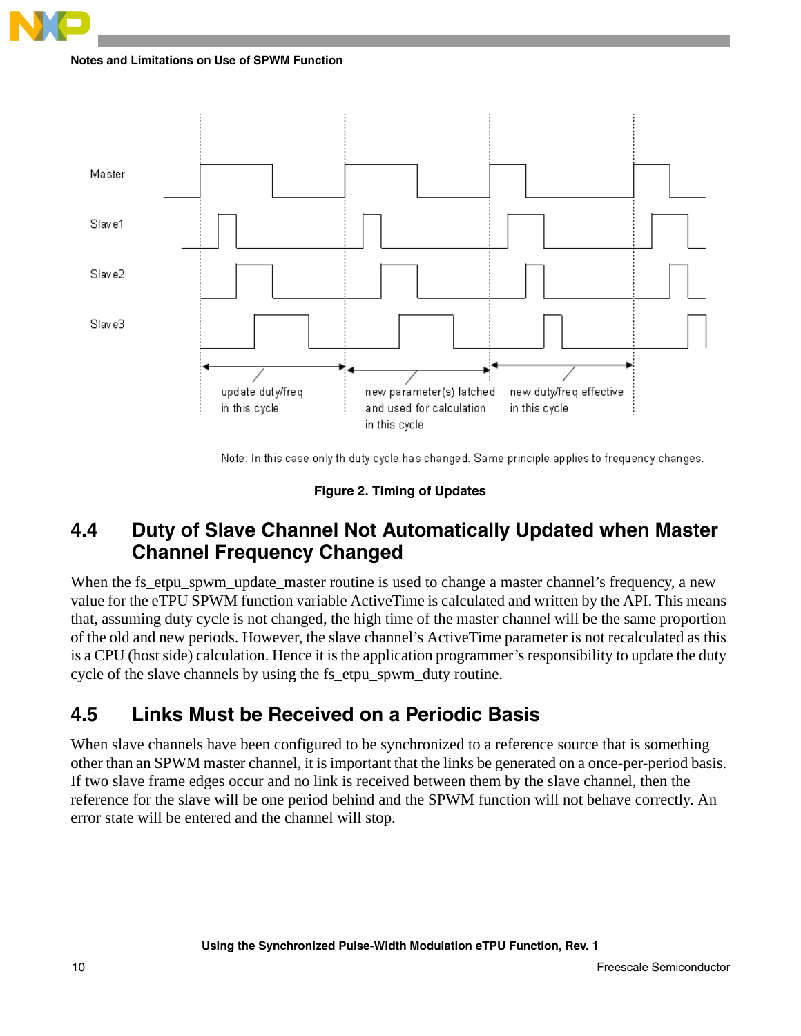**Notes and Limitations on Use of SPWM Function**



Note: In this case only th duty cycle has changed. Same principle applies to frequency changes.

#### **Figure 2. Timing of Updates**

#### <span id="page-9-2"></span><span id="page-9-0"></span>**4.4 Duty of Slave Channel Not Automatically Updated when Master Channel Frequency Changed**

When the fs\_etpu\_spwm\_update\_master routine is used to change a master channel's frequency, a new value for the eTPU SPWM function variable ActiveTime is calculated and written by the API. This means that, assuming duty cycle is not changed, the high time of the master channel will be the same proportion of the old and new periods. However, the slave channel's ActiveTime parameter is not recalculated as this is a CPU (host side) calculation. Hence it is the application programmer's responsibility to update the duty cycle of the slave channels by using the fs\_etpu\_spwm\_duty routine.

#### <span id="page-9-1"></span>**4.5 Links Must be Received on a Periodic Basis**

When slave channels have been configured to be synchronized to a reference source that is something other than an SPWM master channel, it is important that the links be generated on a once-per-period basis. If two slave frame edges occur and no link is received between them by the slave channel, then the reference for the slave will be one period behind and the SPWM function will not behave correctly. An error state will be entered and the channel will stop.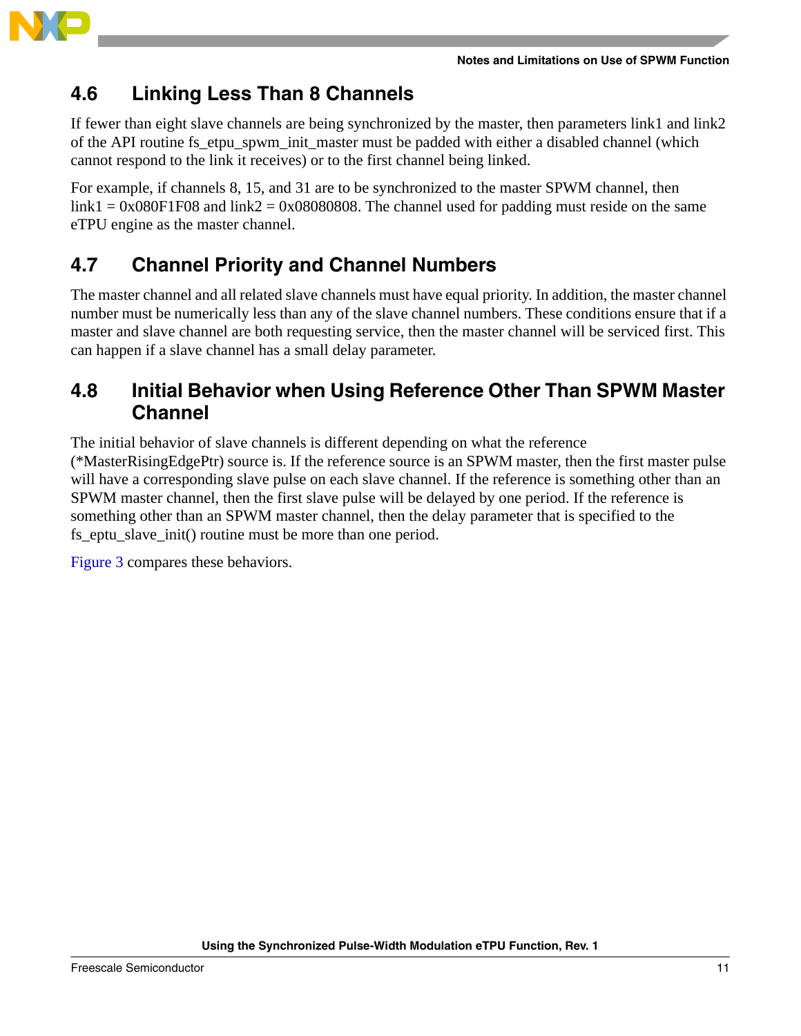

#### <span id="page-10-0"></span>**4.6 Linking Less Than 8 Channels**

If fewer than eight slave channels are being synchronized by the master, then parameters link1 and link2 of the API routine fs\_etpu\_spwm\_init\_master must be padded with either a disabled channel (which cannot respond to the link it receives) or to the first channel being linked.

For example, if channels 8, 15, and 31 are to be synchronized to the master SPWM channel, then link1 = 0x080F1F08 and link2 = 0x08080808. The channel used for padding must reside on the same eTPU engine as the master channel.

### <span id="page-10-1"></span>**4.7 Channel Priority and Channel Numbers**

The master channel and all related slave channels must have equal priority. In addition, the master channel number must be numerically less than any of the slave channel numbers. These conditions ensure that if a master and slave channel are both requesting service, then the master channel will be serviced first. This can happen if a slave channel has a small delay parameter.

#### <span id="page-10-2"></span>**4.8 Initial Behavior when Using Reference Other Than SPWM Master Channel**

The initial behavior of slave channels is different depending on what the reference

(\*MasterRisingEdgePtr) source is. If the reference source is an SPWM master, then the first master pulse will have a corresponding slave pulse on each slave channel. If the reference is something other than an SPWM master channel, then the first slave pulse will be delayed by one period. If the reference is something other than an SPWM master channel, then the delay parameter that is specified to the fs eptu slave init() routine must be more than one period.

[Figure 3](#page-11-1) compares these behaviors.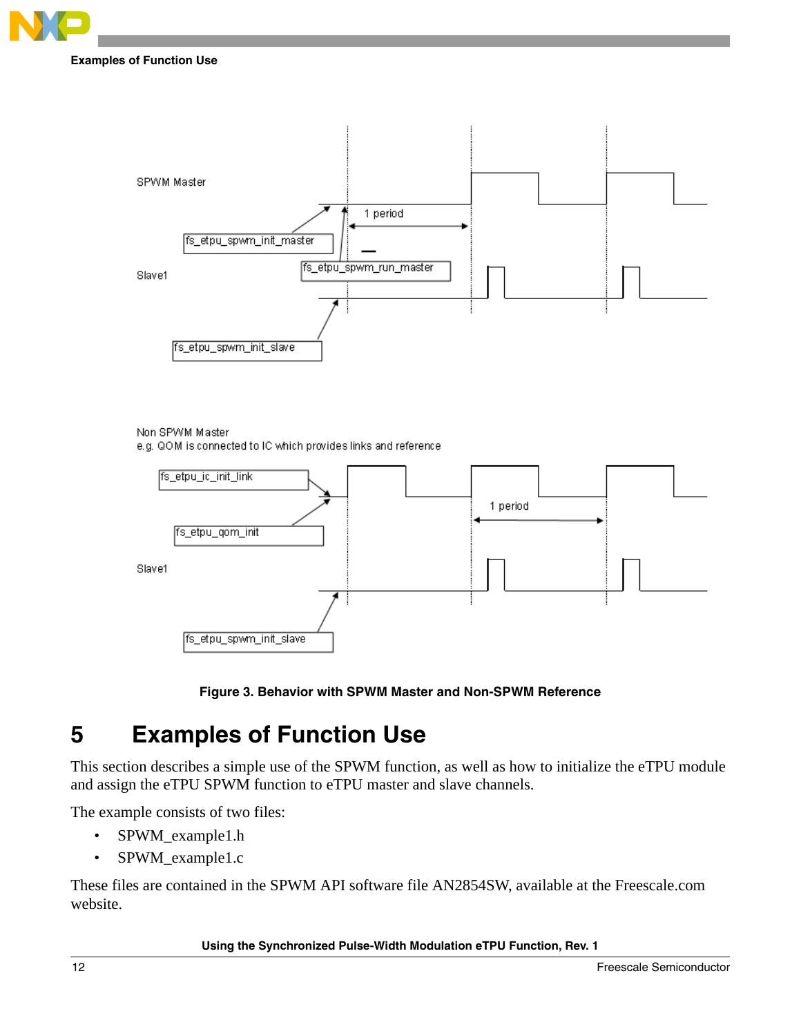

**Examples of Function Use**



Non SPWM Master

e.g. QOM is connected to IC which provides links and reference



#### **Figure 3. Behavior with SPWM Master and Non-SPWM Reference**

### <span id="page-11-1"></span><span id="page-11-0"></span>**5 Examples of Function Use**

This section describes a simple use of the SPWM function, as well as how to initialize the eTPU module and assign the eTPU SPWM function to eTPU master and slave channels.

The example consists of two files:

- SPWM\_example1.h
- SPWM\_example1.c

These files are contained in the SPWM API software file AN2854SW, available at the Freescale.com website.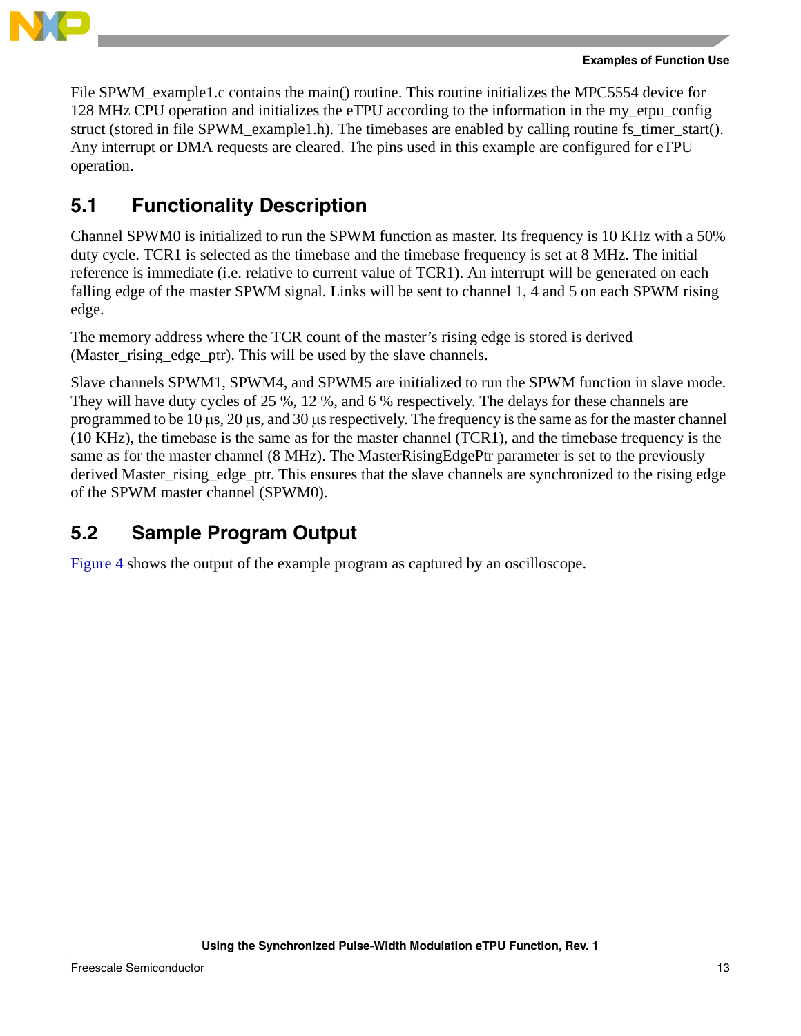

File SPWM\_example1.c contains the main() routine. This routine initializes the MPC5554 device for 128 MHz CPU operation and initializes the eTPU according to the information in the my\_etpu\_config struct (stored in file SPWM\_example1.h). The timebases are enabled by calling routine fs\_timer\_start(). Any interrupt or DMA requests are cleared. The pins used in this example are configured for eTPU operation.

### <span id="page-12-0"></span>**5.1 Functionality Description**

Channel SPWM0 is initialized to run the SPWM function as master. Its frequency is 10 KHz with a 50% duty cycle. TCR1 is selected as the timebase and the timebase frequency is set at 8 MHz. The initial reference is immediate (i.e. relative to current value of TCR1). An interrupt will be generated on each falling edge of the master SPWM signal. Links will be sent to channel 1, 4 and 5 on each SPWM rising edge.

The memory address where the TCR count of the master's rising edge is stored is derived (Master\_rising\_edge\_ptr). This will be used by the slave channels.

Slave channels SPWM1, SPWM4, and SPWM5 are initialized to run the SPWM function in slave mode. They will have duty cycles of 25 %, 12 %, and 6 % respectively. The delays for these channels are programmed to be 10 μs, 20 μs, and 30 μs respectively. The frequency is the same as for the master channel (10 KHz), the timebase is the same as for the master channel (TCR1), and the timebase frequency is the same as for the master channel (8 MHz). The MasterRisingEdgePtr parameter is set to the previously derived Master\_rising\_edge\_ptr. This ensures that the slave channels are synchronized to the rising edge of the SPWM master channel (SPWM0).

### <span id="page-12-1"></span>**5.2 Sample Program Output**

[Figure 4](#page-13-1) shows the output of the example program as captured by an oscilloscope.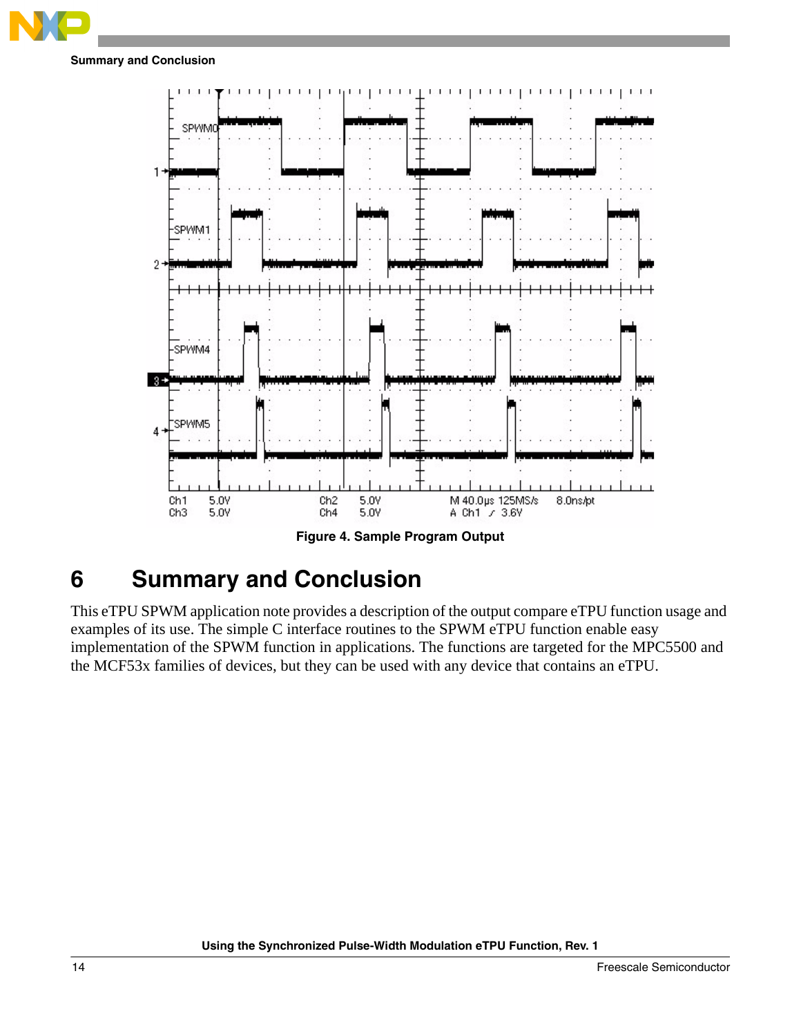

#### **Summary and Conclusion**



**Figure 4. Sample Program Output**

### <span id="page-13-1"></span><span id="page-13-0"></span>**6 Summary and Conclusion**

This eTPU SPWM application note provides a description of the output compare eTPU function usage and examples of its use. The simple C interface routines to the SPWM eTPU function enable easy implementation of the SPWM function in applications. The functions are targeted for the MPC5500 and the MCF53x families of devices, but they can be used with any device that contains an eTPU.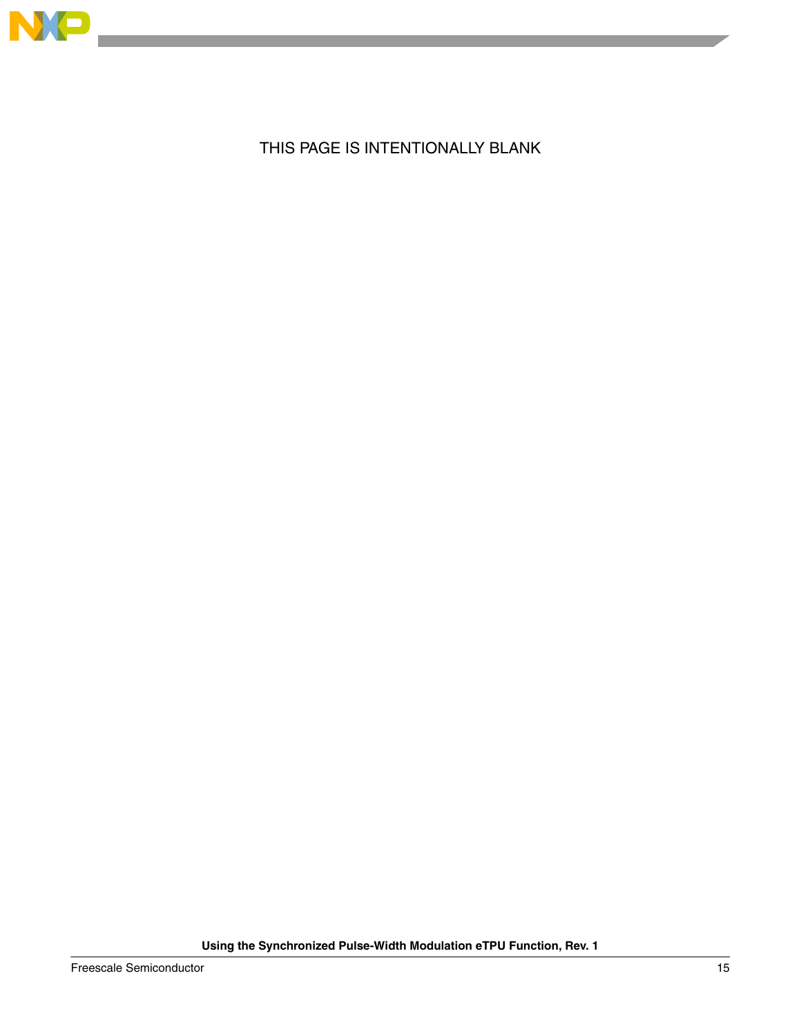

THIS PAGE IS INTENTIONALLY BLANK